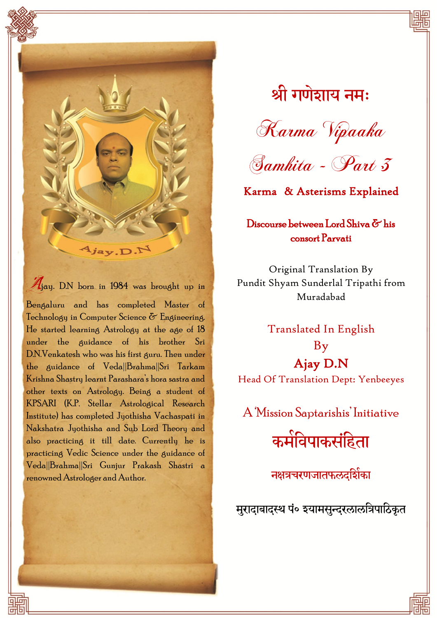

Ajay. D.N born in 1984 was brought up in Bengaluru and has completed Master of Technology in Computer Science & Engineering. He started learning Astrology at the age of 18 under the guidance of his brother Sri D.N.Venkatesh who was his first guru. Then under the guidance of Veda||Brahma||Sri Tarkam Krishna Shastry learnt Parashara's hora sastra and other texts on Astrology. Being a student of KPSARI (K.P. Stellar Astrological Research Institute) has completed Jyothisha Vachaspati in Nakshatra Jyothisha and Sub Lord Theory and also practicing it till date. Currently he is practicing Vedic Science under the guidance of Veda||Brahma||Sri Gunjur Prakash Shastri a renowned Astrologer and Author.

श्री गणेशाय नमः





Karma & Asterisms Explained

Discourse between Lord Shiva & his consort Parvati

Original Translation By Pundit Shyam Sunderlal Tripathi from Muradabad

Translated In English By Ajay D.N Head Of Translation Dept: Yenbeeyes

A 'Mission Saptarishis' Initiative

कमेविपाकसंहिता

नक्षत्रचरणजातफलदर्शिका

मुरादाबादस्थ पं० श्यामसुन्दरलालत्रिपाठिकृत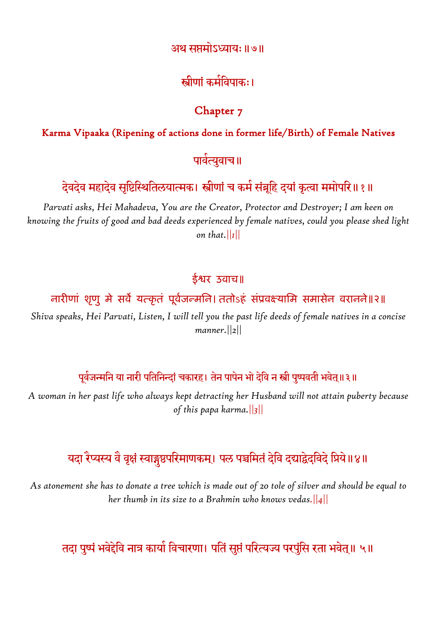#### अथ सप्तभोऽध्याम्॥७॥

## स्त्रीणां कमेविपाकः।

#### Chapter 7

#### Karma Vipaaka (Ripening of actions done in former life/Birth) of Female Natives

#### पावेत्युवाच॥

## देवदेव महादेव सृष्टिस्थितिलयात्मक। स्त्रीणां च कमे संबूहि दयां कृत्वा ममोपरि॥१॥

*Parvati asks, Hei Mahadeva, You are the Creator, Protector and Destroyer; I am keen on knowing the fruits of good and bad deeds experienced by female natives, could you please shed light on that.||1||*

#### ईश्वर उवाच॥

#### नारीणां शृणु मे सर्वे यत्कृतं पूर्वजन्मनि। ततोऽहं संप्रवक्ष्यामि समासेन वरानने॥२॥

*Shiva speaks, Hei Parvati, Listen, I will tell you the past life deeds of female natives in a concise manner.||2||*

#### पूर्वजन्मनि या नारी पतिनिन्दां चकारह। तेन पापेन भो देवि न स्त्री पुष्पवती भवेत्॥३॥

*A woman in her past life who always kept detracting her Husband will not attain puberty because of this papa karma.||3||*

## यदा रैप्यस्य वै वृक्षं स्वाङ्गुष्ठपरिमाणकम्। पल पञ्चमितं देवि दद्याद्वेदविदे प्रिये॥४॥

*As atonement she has to donate a tree which is made out of 20 tole of silver and should be equal to her thumb in its size to a Brahmin who knows vedas.||4||*

### तदा पुष्पं भवेद्देवि नात्र कार्या विचारणा। पतिं सुप्तं परित्यज्य परपुंसि रता भवेत्॥ ५॥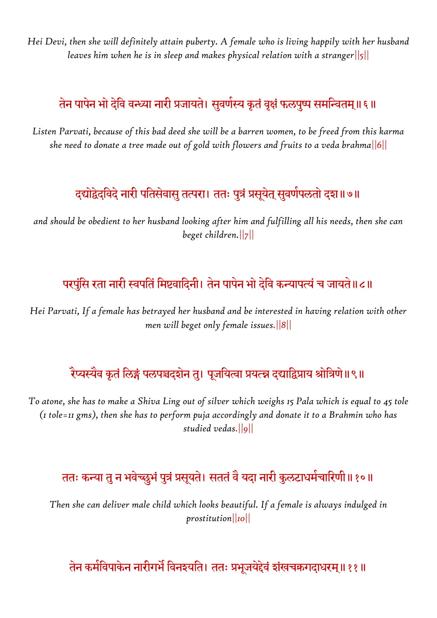*Hei Devi, then she will definitely attain puberty. A female who is living happily with her husband leaves him when he is in sleep and makes physical relation with a stranger||5||*

# तेन पापेन भो देवि वन्ध्या नारी प्रजायते। सुवणेस्य कृतं वृक्षं फलपुष्प समन्वितम्॥६॥

*Listen Parvati, because of this bad deed she will be a barren women, to be freed from this karma she need to donate a tree made out of gold with flowers and fruits to a veda brahma||6||*

## दद्योद्वेदविदे नारी पतिसेवासु तत्परा। ततः पुत्रं प्रसूयेत् सुवर्णपलतो दश॥७॥

*and should be obedient to her husband looking after him and fulfilling all his needs, then she can beget children.||7||*

## परपुंसि रता नारी स्वपतिं मिष्टवादिनी। तेन पापेन भो देवि कन्यापत्यं च जायते॥८॥

*Hei Parvati, If a female has betrayed her husband and be interested in having relation with other men will beget only female issues.||8||*

## रैप्यस्यैव कृतं लिङ्गं पलपञ्चदशेन तु। पूजयित्वा प्रयत्न्न दद्याद्विप्राय श्रोत्रिणे॥९॥

*To atone, she has to make a Shiva Ling out of silver which weighs 15 Pala which is equal to 45 tole (1 tole=11 gms), then she has to perform puja accordingly and donate it to a Brahmin who has studied vedas.||9||*

## ततः कन्या तु न भवेच्छुभं पुत्रं प्रसूयते। सततं वै यदा नारी कुलटाधमेचारिणी॥१०॥

*Then she can deliver male child which looks beautiful. If a female is always indulged in prostitution||10||*

## तेन कर्मविपाकेन नारीगर्भै विनश्यति। ततः प्रभूजयेद्देवं शंखचक्रगदाधरम्॥११॥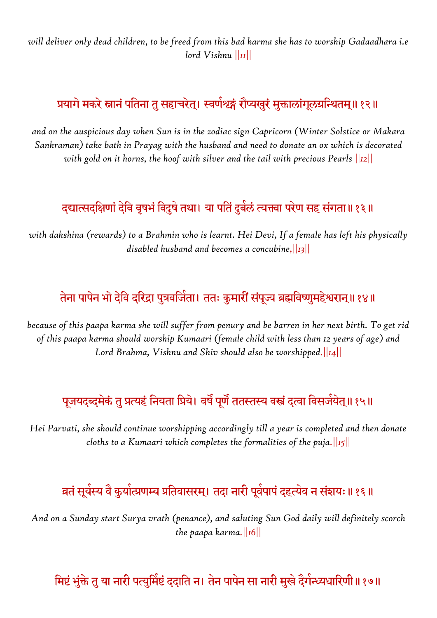*will deliver only dead children, to be freed from this bad karma she has to worship Gadaadhara i.e lord Vishnu ||11||*

# प्रयागे मकरे स्नानं पतिना तु सहाचरेत्। स्वर्णशृङ्गं रौप्यखुरं मुक्तालांगूलग्रन्थितम्॥१२॥

*and on the auspicious day when Sun is in the zodiac sign Capricorn (Winter Solstice or Makara Sankraman) take bath in Prayag with the husband and need to donate an ox which is decorated with gold on it horns, the hoof with silver and the tail with precious Pearls ||12||*

## दद्यात्सदक्षिणों देवि वृषभें विदुषे तथा। या पतिं दुबेलें त्यक्त्वा परेण सह संगता॥१३॥

*with dakshina (rewards) to a Brahmin who is learnt. Hei Devi, If a female has left his physically disabled husband and becomes a concubine,||13||*

## तेना पापेन भो देवि दरिद्रा पुत्रवजिंता। ततः कुमारीं संपूज्य ब्रह्मविष्णुमहेश्वरान्॥१४॥

*because of this paapa karma she will suffer from penury and be barren in her next birth. To get rid of this paapa karma should worship Kumaari (female child with less than 12 years of age) and Lord Brahma, Vishnu and Shiv should also be worshipped.||14||*

## पूजयदब्दमेकं तु प्रत्यहं नियता प्रिये। वर्षै पूर्णै ततस्तस्य वस्त्रं दत्वा विसजेयेत्॥१५॥

*Hei Parvati, she should continue worshipping accordingly till a year is completed and then donate cloths to a Kumaari which completes the formalities of the puja.||15||*

# व्रतं सूर्यस्य वै कुर्यात्प्रणम्य प्रतिवासरम्। तदा नारी पूर्वपापं दहत्येव न संशयः॥१६॥

*And on a Sunday start Surya vrath (penance), and saluting Sun God daily will definitely scorch the paapa karma.||16||*

## मिष्टं भुंक्ते तु या नारी पत्युमिष्टं ददाति न। तेन पापेन सा नारी मुखे दैगेन्ध्यधारिणी॥१७॥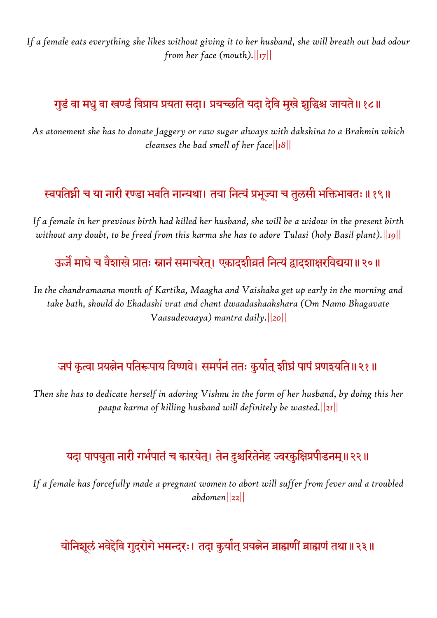*If a female eats everything she likes without giving it to her husband, she will breath out bad odour from her face (mouth).||17||*

## गुडं वा मधु वा खण्डं विप्राय प्रयता सदा। प्रयच्छति यदा देवि मुखे शुद्धिश्च जायते॥१८॥

*As atonement she has to donate Jaggery or raw sugar always with dakshina to a Brahmin which cleanses the bad smell of her face||18||*

## स्वपतिघ्नी च या नारी रण्डा भवति नान्यथा। तया नित्यं प्रभूज्या च तुलसी भक्तिभावतः॥१९॥

*If a female in her previous birth had killed her husband, she will be a widow in the present birth without any doubt, to be freed from this karma she has to adore Tulasi (holy Basil plant).||19||*

ऊजैं माघे च वैशाखे प्रातः स्नानं समाचरेत्। एकादशीव्रतं नित्यं द्वादशाक्षरविद्यया॥२०॥

*In the chandramaana month of Kartika, Maagha and Vaishaka get up early in the morning and take bath, should do Ekadashi vrat and chant dwaadashaakshara (Om Namo Bhagavate Vaasudevaaya) mantra daily.||20||*

## जपं कृत्वा प्रयत्नेन पतिरूपाय विष्णवे। समर्पनं ततः कुर्यात् शीघ्रं पापं प्रणश्यति॥२१॥

*Then she has to dedicate herself in adoring Vishnu in the form of her husband, by doing this her paapa karma of killing husband will definitely be wasted.||21||*

### यदा पापयुता नारी गर्भपातं च कारयेत्। तेन दुश्चरितेनेह ज्वरकुक्षिप्रपीडनम्॥२२॥

*If a female has forcefully made a pregnant women to abort will suffer from fever and a troubled abdomen||22||*

योनिशूलं भवेद्देवि गुदरोगे भमन्दरः। तदा कुर्यात् प्रयत्नेन ब्राह्मणीं ब्राह्मणं तथा॥२३॥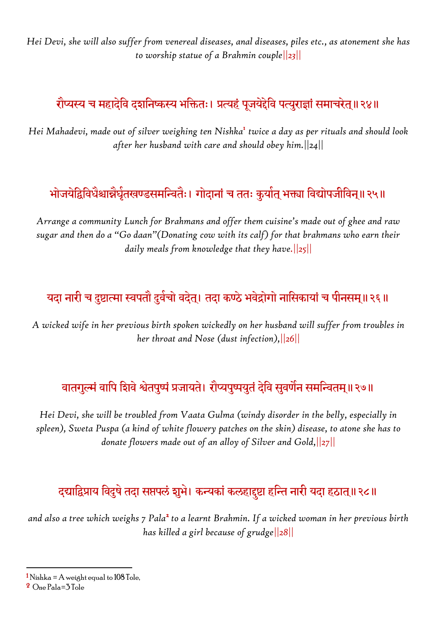*Hei Devi, she will also suffer from venereal diseases, anal diseases, piles etc., as atonement she has to worship statue of a Brahmin couple||23||*

# रौप्यस्य च महादेवि दशनिष्कस्य भक्तितः। प्रत्यहं पूजयेद्देवि पत्युराज्ञां समाचरेत्॥२४॥

*Hei Mahadevi, made out of silver weighing ten Nishka*<sup>1</sup> *twice a day as per rituals and should look after her husband with care and should obey him.||24||*

# भोजयेद्विविधैश्चान्नैर्घृतखण्डसमन्वितैः। गोदानां च ततः कुर्यात् भक्त्या विद्योपजीविन्॥२५॥

*Arrange a community Lunch for Brahmans and offer them cuisine's made out of ghee and raw sugar and then do a "Go daan"(Donating cow with its calf) for that brahmans who earn their daily meals from knowledge that they have.||25||*

# यदा नारी च दुष्टात्मा स्वपतौ दुर्वचो वदेत्। तदा कण्ठे भवेद्रोगो नासिकायां च पीनसम्॥२६॥

*A wicked wife in her previous birth spoken wickedly on her husband will suffer from troubles in her throat and Nose (dust infection),||26||*

# वातगुल्मं वापि शिवे श्वेतपुष्पं प्रजायते। रौप्यपुष्पयुतं देवि सुवर्णेन समन्वितम्॥२७॥

*Hei Devi, she will be troubled from Vaata Gulma (windy disorder in the belly, especially in spleen), Sweta Puspa (a kind of white flowery patches on the skin) disease, to atone she has to donate flowers made out of an alloy of Silver and Gold,||27||*

## दद्याद्विप्राय विदुषे तदा सप्तपलं शुभे। कन्यकां कलहादुष्टा हन्ति नारी यदा हठात्॥२८॥

and also a tree which weighs 7 Pala<sup>2</sup> to a learnt Brahmin. If a wicked woman in her previous birth *has killed a girl because of grudge||28||*

 $\overline{a}$ 

 $1$ Nishka = A weight equal to 108 Tole,

<sup>2</sup> One Pala=3 Tole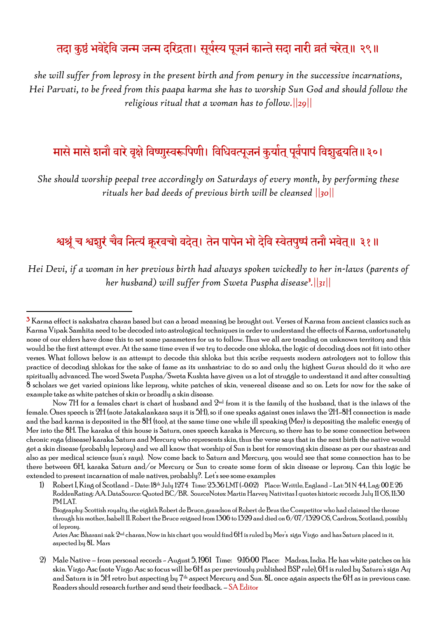## तदा कुष्ठं भवेद्देवि जन्म जन्म दरिद्रता। सूयेस्य पूजनं कान्ते सदा नारी व्रतं चरेत्॥ २९॥

*she will suffer from leprosy in the present birth and from penury in the successive incarnations, Hei Parvati, to be freed from this paapa karma she has to worship Sun God and should follow the religious ritual that a woman has to follow.||29||*

## मासे मासे शनौ वारे वृक्षे विष्णुस्वरूपिणी। विधिवत्पूजनं कुर्यात् पूर्वपापं विशुद्धयति॥३०।

*She should worship peepal tree accordingly on Saturdays of every month, by performing these rituals her bad deeds of previous birth will be cleansed ||30||*

## श्वश्रूं च श्वशुरं चैव नित्यं कूरवचो वदेत्। तेन पापेन भो देवि स्वेतपुष्पं तनौ भवेत्॥ ३१॥

*Hei Devi, if a woman in her previous birth had always spoken wickedly to her in-laws (parents of her husband) will suffer from Sweta Puspha disease*<sup>3</sup> *.||31||*

1

<sup>3</sup> Karma effect is nakshatra charan based but can a broad meaning be brought out. Verses of Karma from ancient classics such as Karma Vipak Samhita need to be decoded into astrological techniques in order to understand the effects of Karma, unfortunately none of our elders have done this to set some parameters for us to follow. Thus we all are treading on unknown territory and this would be the first attempt ever. At the same time even if we try to decode one shloka, the logic of decoding does not fit into other verses. What follows below is an attempt to decode this shloka but this scribe requests modern astrologers not to follow this practice of decoding shlokas for the sake of fame as its unshastriac to do so and only the highest Gurus should do it who are spiritually advanced. The word Sweta Puspha/Sweta Kushta have given us a lot of struggle to understand it and after consulting 8 scholars we get varied opinions like leprosy, white patches of skin, venereal disease and so on. Lets for now for the sake of example take as white patches of skin or broadly a skin disease.

Now 7H for a females chart is chart of husband and  $2^{\text{nd}}$  from it is the family of the husband, that is the inlaws of the female. Ones speech is 2H (note Jatakalankara says it is 5H), so if one speaks against ones inlaws the 2H-8H connection is made and the bad karma is deposited in the 8H (too), at the same time one while ill speaking (Mer) is depositing the malefic energy of Mer into the 8H. The karaka of this house is Saturn, ones speech karaka is Mercury, so there has to be some connection between chronic roga (disease) karaka Saturn and Mercury who represents skin, thus the verse says that in the next birth the native would get a skin disease (probably leprosy) and we all know that worship of Sun is best for removing skin disease as per our shastras and also as per medical science (sun's rays). Now come back to Saturn and Mercury, you would see that some connection has to be there between 6H, karaka Saturn and/or Mercury or Sun to create some form of skin disease or leprosy. Can this logic be extended to present incarnation of male natives, probably?. Let's see some examples

<sup>1)</sup> Robert I, King of Scotland - Date: 18th July 1274 Time: 23:36 LMT (-0:02) Place: Writtle, England - Lat: 51 N 44, Lng: 00 E 26 RoddenRating: AA. DataSource: Quoted BC/BR. SourceNotes: Martin Harvey Nativitas I quotes historic records: July 11 OS, 11:30 PM LAT.

Biography: Scottish royalty, the eighth Robert de Bruce, grandson of Robert de Brus the Competitor who had claimed the throne through his mother, Isabell II. Robert the Bruce reigned from 1306 to 1329 and died on 6/07/1329 OS, Cardross, Scotland, possibly of leprosy.

Aries Asc Bharani nak 2nd charan, Now in his chart you would find 6H is ruled by Mer's sign Virgo and has Saturn placed in it, aspected by 8L Mars

<sup>2)</sup> Male Native – from personal records - August 5, 1961 Time: 9:16:00 Place: Madras, India. He has white patches on his skin. Virgo Asc (note Virgo Asc so focus will be 6H as per previously published BSP rule), 6H is ruled by Saturn's sign Aq and Saturn is in 5H retro but aspecting by  $7<sup>th</sup>$  aspect Mercury and Sun. 8L once again aspects the 6H as in previous case. Readers should research further and send their feedback. – SA Editor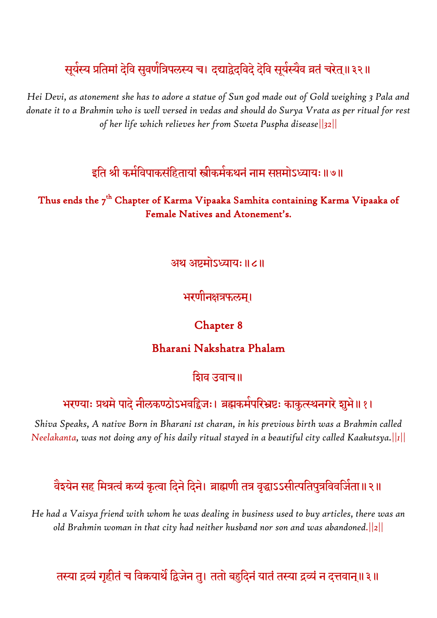# सूर्यस्य प्रतिमां देवि सुवर्णात्रेपलस्य च। दद्याद्वेदविदे देवि सूर्यस्यैव व्रतं चरेत्॥३२॥

*Hei Devi, as atonement she has to adore a statue of Sun god made out of Gold weighing 3 Pala and donate it to a Brahmin who is well versed in vedas and should do Surya Vrata as per ritual for rest of her life which relieves her from Sweta Puspha disease||32||*

### इति श्री कमेविपाकसंहितायां स्त्रीकमेकथनं नाम सप्तमोऽध्यायः ॥७॥

#### Thus ends the 7<sup>th</sup> Chapter of Karma Vipaaka Samhita containing Karma Vipaaka of Female Natives and Atonement's.

#### अथ अष्टमोऽध्याय:॥८॥

#### भरणीनक्षत्रफलम्।

#### Chapter 8

#### Bharani Nakshatra Phalam

#### शिव उवाच॥

#### भरण्याः प्रथमे पादे नीलकण्ठोऽभवद्विजः। ब्रह्मकमेपरिभ्रष्टः काकुत्स्थनगरे शुभे॥१।

*Shiva Speaks, A native Born in Bharani 1st charan, in his previous birth was a Brahmin called Neelakanta, was not doing any of his daily ritual stayed in a beautiful city called Kaakutsya.||1||*

## वैश्येन सह मित्रत्वं कय्यं कृत्वा दिने दिने। ब्राह्मणी तत्र वृद्धाऽऽसीत्पतिपुत्रविवजिता॥२॥

*He had a Vaisya friend with whom he was dealing in business used to buy articles, there was an old Brahmin woman in that city had neither husband nor son and was abandoned.||2||*

### तस्या द्रव्यं गृहीतं च विक्रयाथैं द्विजेन तु। ततो बहुदिनं यातं तस्या द्रव्यं न दत्तवान्॥३॥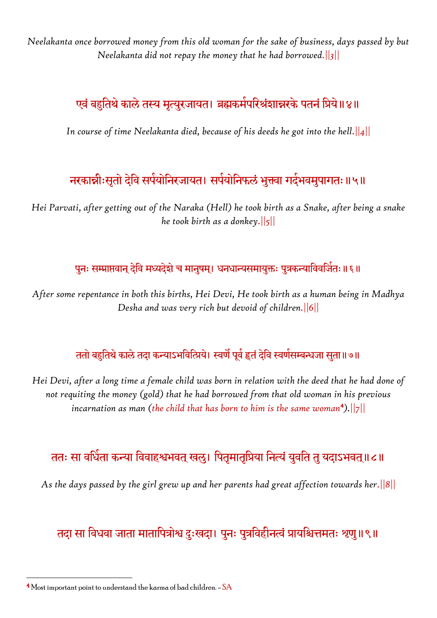*Neelakanta once borrowed money from this old woman for the sake of business, days passed by but Neelakanta did not repay the money that he had borrowed.||3||*

# एवं बहुतिथे काले तस्य मृत्युरजायत। ब्रह्मकमेपरिश्रंशान्नरके पतनं प्रिये॥४॥

*In course of time Neelakanta died, because of his deeds he got into the hell.||4||*

# नरकान्नीःसृतो देवि सपेयोनिरजायत। सपेयोनिफलं भुक्त्वा गदेभवमुपागतः॥५॥

*Hei Parvati, after getting out of the Naraka (Hell) he took birth as a Snake, after being a snake he took birth as a donkey.||5||*

#### पुनः सम्प्राप्तवान् देवि मध्यदेशे च मानुषम्। धनधान्यसमायुक्तः पुत्रकन्याविवजितः॥६॥

*After some repentance in both this births, Hei Devi, He took birth as a human being in Madhya Desha and was very rich but devoid of children.||6||*

### ततो बहुतिथे काले तदा कन्याऽभवित्प्रिये। स्वणै पूर्व हृतं देवि स्वणेसम्बन्धजा सुता॥७॥

*Hei Devi, after a long time a female child was born in relation with the deed that he had done of not requiting the money (gold) that he had borrowed from that old woman in his previous incarnation as man (the child that has born to him is the same woman*<sup>4</sup> *).||7||*

## ततः सा वर्धिता कन्या विवाहश्वभवत् खलु। पितृमातृप्रिया नित्यं युवति तु यदाऽभवत्॥८॥

*As the days passed by the girl grew up and her parents had great affection towards her.||8||*

## तदा सा विधवा जाता मातापित्रोश्व दुःखदा। पुनः पुत्रविहीनत्वं प्रायश्चित्तमतः श्रणु॥९॥

**.** 

 $4$  Most important point to understand the karma of bad children.  $-$  SA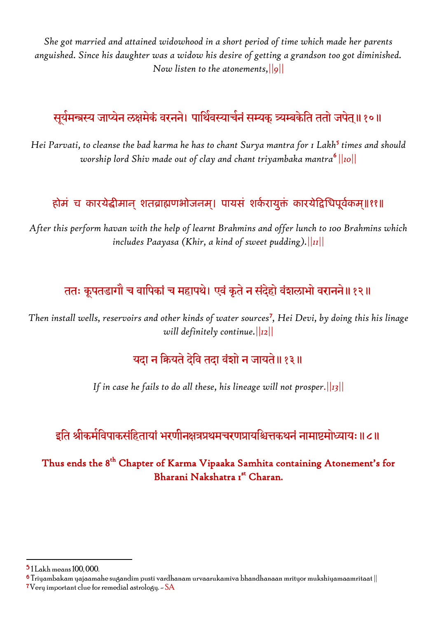*She got married and attained widowhood in a short period of time which made her parents anguished. Since his daughter was a widow his desire of getting a grandson too got diminished. Now listen to the atonements,||9||*

# सूर्यमन्त्रस्य जाप्येन लक्षमेकं वरनने। पार्थिवस्याचेनं सम्यक् त्र्यम्बकेति ततो जपेत्॥१०॥

Hei Parvati, to cleanse the bad karma he has to chant Surya mantra for 1 Lakh<sup>5</sup> times and should *worship lord Shiv made out of clay and chant triyambaka mantra*<sup>6</sup> *||10||*

#### होमं च कारयेद्धीमान् शतब्राह्मणभोजनम्। पायसं शकेरायुक्तं कारयेद्विधिपूर्वकम्॥११॥

*After this perform havan with the help of learnt Brahmins and offer lunch to 100 Brahmins which includes Paayasa (Khir, a kind of sweet pudding).||11||*

## ततः कूपतडागौ च वापिकां च महापथे। एवं कृते न संदेहो वंशलाभो वरानने॥१२॥

Then install wells, reservoirs and other kinds of water sources<sup>7</sup>, Hei Devi, by doing this his linage *will definitely continue.||12||*

### यदा न कियते देवि तदा वंशो न जायते॥१३॥

*If in case he fails to do all these, his lineage will not prosper.||13||*

## इति श्रीकर्मविपाकसंहितायां भरणीनक्षत्रप्रथमचरणप्रायश्चित्तकथनं नामाष्टमोध्यायः॥८॥

#### Thus ends the 8<sup>th</sup> Chapter of Karma Vipaaka Samhita containing Atonement's for Bharani Nakshatra 1st Charan.

1

<sup>5</sup> 1 Lakh means 100, 000.

 $^{\rm 6}$  Triyambakam yajaamahe sugandim pusti vardhanam urvaarukamiva bhandhanaan mrityor mukshiyamaamritaat  $\parallel$  $7V$ ery important clue for remedial astrology.  $-SA$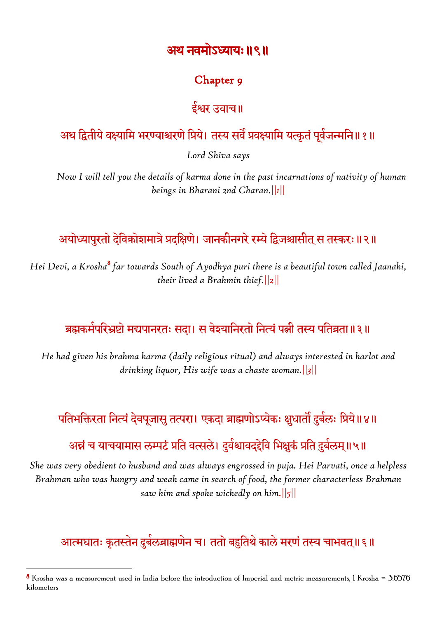### अथ नवमोऽध्याय:॥९॥

#### Chapter 9

### ईश्वर उवाच॥

# अथ द्वितीये वक्ष्यामि भरण्याश्चरणे प्रिये। तस्य सर्वं प्रवक्ष्यामि यत्कृतं पूर्वजन्मनि॥१॥

*Lord Shiva says*

*Now I will tell you the details of karma done in the past incarnations of nativity of human beings in Bharani 2nd Charan.||1||*

# अयोध्यापुरतो देविकोशमात्रे प्रदक्षिणे। जानकीनगरे रम्ये द्विजश्चासीत स तस्करः ॥२॥

*Hei Devi, a Krosha*<sup>8</sup> *far towards South of Ayodhya puri there is a beautiful town called Jaanaki, their lived a Brahmin thief.||2||*

# ब्रह्मकमेपरिभ्रष्टो मद्यपानरतः सदा। स वेश्यानिरतो नित्यं पत्नी तस्य पतिव्रता॥३॥

*He had given his brahma karma (daily religious ritual) and always interested in harlot and drinking liquor, His wife was a chaste woman.||3||*

# पतिभक्तिरता नित्यं देवपूजासु तत्परा। एकदा ब्राह्मणोऽप्येकः क्षुधातौ दुबेलः प्रिये॥४॥

# अन्नं च याचयामास लम्पटं प्रति वत्सले। दुर्वश्चावद्द्देवि भिक्षुकं प्रति दुर्बलम्॥५॥

*She was very obedient to husband and was always engrossed in puja. Hei Parvati, once a helpless Brahman who was hungry and weak came in search of food, the former characterless Brahman saw him and spoke wickedly on him.||5||*

# आत्मघातः कृतस्तेन दुर्बलब्राह्मणेन च। ततो बहुतिथे काले मरणं तस्य चाभवत्॥६॥

**.** 

 $8$  Krosha was a measurement used in India before the introduction of Imperial and metric measurements, 1 Krosha = 3.0576 kilometers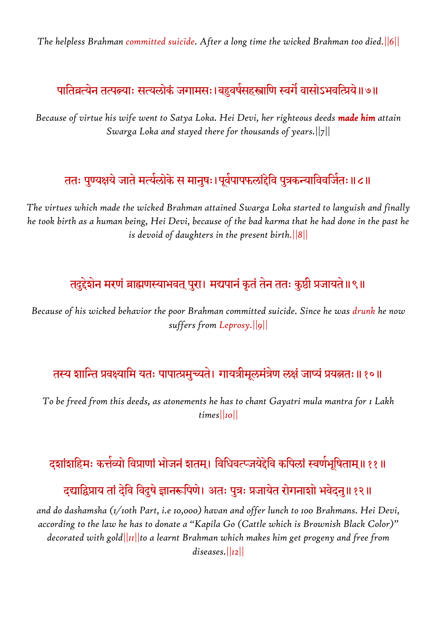*The helpless Brahman committed suicide. After a long time the wicked Brahman too died.||6||*

# पातिव्रत्येन तत्पत्न्याः सत्यलोकं जगामसः।बहुवर्षसहस्त्राणि स्वगौ वासोऽभवत्प्रिये॥७॥

*Because of virtue his wife went to Satya Loka. Hei Devi, her righteous deeds made him attain Swarga Loka and stayed there for thousands of years.||7||*

# ततः पुण्यक्षयं जाते मत्येलोके स मानुषः।पूर्वपापफलांद्देवि पुत्रकन्याविवजितः॥८॥

*The virtues which made the wicked Brahman attained Swarga Loka started to languish and finally he took birth as a human being, Hei Devi, because of the bad karma that he had done in the past he is devoid of daughters in the present birth.||8||*

## तदुद्देशेन मरणं ब्राह्मणस्याभवत् पुरा। मद्यपानं कृतं तेन ततः कुष्ठी प्रजायते॥९॥

*Because of his wicked behavior the poor Brahman committed suicide. Since he was drunk he now suffers from Leprosy.||9||*

## तस्य शान्ति प्रवक्ष्यामि यतः पापात्प्रमुच्यते। गायत्रीमूलमंत्रेण लक्षं जाप्यं प्रयत्नतः॥१०॥

*To be freed from this deeds, as atonements he has to chant Gayatri mula mantra for 1 Lakh times||10||*

## दशांशहिमः कत्तेव्यो विप्राणां भोजनं शतम्। विधिवत्प्जयेद्देवि कपिलां स्वर्णभूषिताम्॥११॥

## दद्याद्विप्राय तां देवि विदुषे ज्ञानरूपिणे। अतः पुत्रः प्रजायेत रोगनाशो भवेदनु॥१२॥

*and do dashamsha (1/10th Part, i.e 10,000) havan and offer lunch to 100 Brahmans. Hei Devi, according to the law he has to donate a "Kapila Go (Cattle which is Brownish Black Color)" decorated with gold||11||to a learnt Brahman which makes him get progeny and free from diseases.||12||*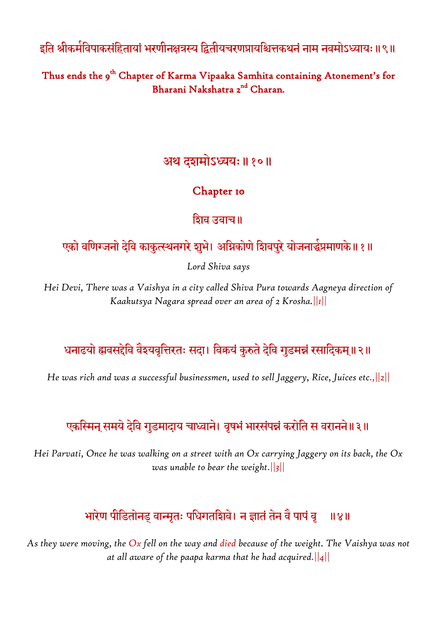इति श्रीकमेविपाकसंहितायां भरणीनक्षत्रस्य द्वितीयचरणप्रायश्चित्तकथनं नाम नवमोऽध्यायः॥९॥

Thus ends the 9<sup>th</sup> Chapter of Karma Vipaaka Samhita containing Atonement's for Bharani Nakshatra 2<sup>nd</sup> Charan.

## अथ दशभोऽध्यम्॥१०॥

### Chapter 10

शिव उवाच॥

# एको वर्णिग्जनो देवि काकुत्स्थनगरे शुभे। अग्निकोणे शिवपुरे योजनार्द्धप्रमाणके॥१॥

*Lord Shiva says*

*Hei Devi, There was a Vaishya in a city called Shiva Pura towards Aagneya direction of Kaakutsya Nagara spread over an area of 2 Krosha.||1||*

## धनाढयो ह्मवसद्देवि वैश्यवृत्तिरतः सदा। विक्रयं कुरुते देवि गुडमन्नं रसादिकम्॥२॥

*He was rich and was a successful businessmen, used to sell Jaggery, Rice, Juices etc.,||2||*

# एकस्मिन् समये देवि गुडमादाय चाध्वाने। वृषभं भारसंपन्नं करोति स वरानने॥३॥

*Hei Parvati, Once he was walking on a street with an Ox carrying Jaggery on its back, the Ox was unable to bear the weight.||3||*

# भारेण पीडितोनड् वान्मृतः पंधिगतदिवि। न ज्ञातं तेन वै पापं वृ । ॥४॥

*As they were moving, the Ox fell on the way and died because of the weight. The Vaishya was not at all aware of the paapa karma that he had acquired.||4||*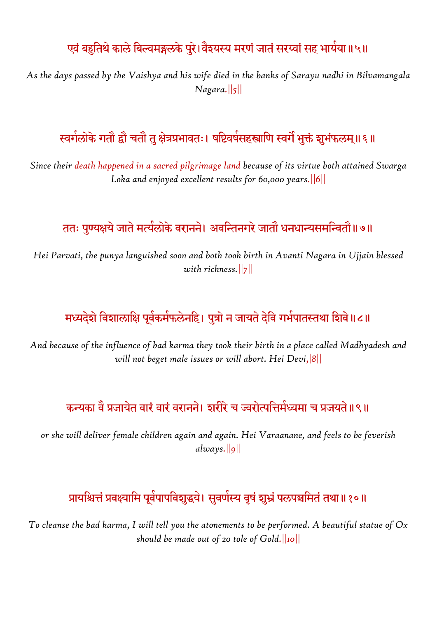## एवं बहुतिथे काले बिल्वमङ्गलके पुरे।वैश्यस्य मरणं जातं सरय्वां सह भायेया॥५॥

*As the days passed by the Vaishya and his wife died in the banks of Sarayu nadhi in Bilvamangala Nagara.||5||*

## स्वर्गलोके गतौ द्वौ चतौ तु क्षेत्रप्रभावतः। षष्टिवर्षसहस्त्राणि स्वगै भुक्तं शुभंफलम्॥ ६॥

*Since their death happened in a sacred pilgrimage land because of its virtue both attained Swarga Loka and enjoyed excellent results for 60,000 years.||6||*

## ततः पुण्यक्षये जाते मत्येलोके वरानने। अवन्तिनगरे जातौ धनधान्यसमन्वितौ॥७॥

*Hei Parvati, the punya languished soon and both took birth in Avanti Nagara in Ujjain blessed with richness.||7||*

# मध्यदेशे विशालांक्षि पूर्वकमेफलेनहि। पुत्रो न जायते देवि गभेपातस्तथा शिवे॥८॥

*And because of the influence of bad karma they took their birth in a place called Madhyadesh and will not beget male issues or will abort. Hei Devi,|8||*

## कन्यका वै प्रजायेत वारं वारं वरानने। शरीरे च ज्वरोत्पत्तिमेध्यमा च प्रजयते॥९॥

*or she will deliver female children again and again. Hei Varaanane, and feels to be feverish always.||9||*

## प्रायश्चित्तं प्रवक्ष्यामि पूर्वपापविशुद्धये। सुवर्णस्य वृषं शुभ्रं पलपञ्चमितं तथा॥१०॥

*To cleanse the bad karma, I will tell you the atonements to be performed. A beautiful statue of Ox should be made out of 20 tole of Gold.||10||*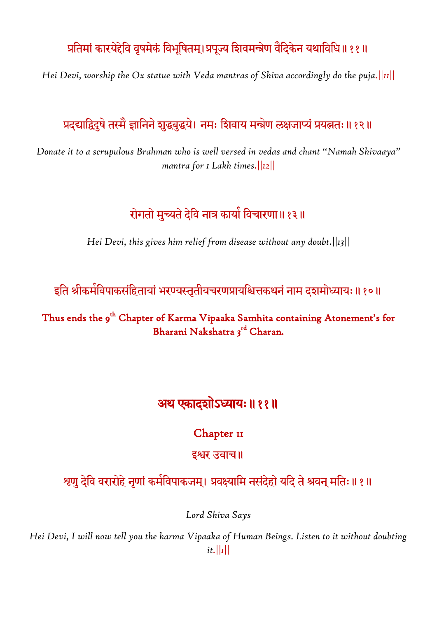## प्रतिमां कारयेद्देवि वृषमेकं विभूषितम्।प्रपूज्य शिवमन्त्रेण वैदिकेन यथाविधि॥११॥

*Hei Devi, worship the Ox statue with Veda mantras of Shiva accordingly do the puja.||11||*

### प्रदद्याद्विदुषे तस्मै ज्ञानिने शुद्धबुद्धये। नमः शिवाय मन्त्रेण लक्षजाप्यं प्रयत्नतः॥१२॥

*Donate it to a scrupulous Brahman who is well versed in vedas and chant "Namah Shivaaya" mantra for 1 Lakh times.||12||*

## रोगतो मुच्यते देवि नात्र कार्या विचारणा॥१३॥

*Hei Devi, this gives him relief from disease without any doubt.||13||*

इति श्रीकर्मविपाकसंहितायां भरण्यस्तृतीयचरणप्रायश्चित्तकथनं नाम दशमोध्यायः॥१०॥

Thus ends the 9<sup>th</sup> Chapter of Karma Vipaaka Samhita containing Atonement's for Bharani Nakshatra 3<sup>rd</sup> Charan.

# अथ एकादशोऽध्याम्॥११॥

#### Chapter II

#### इश्वर उवाच॥

श्र्णु देवि वरारोहे नृणां कमेविपाकजम्। प्रवक्ष्यामि नसंदेहो यदि ते श्रवन् मतिः॥ १॥

*Lord Shiva Says*

*Hei Devi, I will now tell you the karma Vipaaka of Human Beings. Listen to it without doubting it.||1||*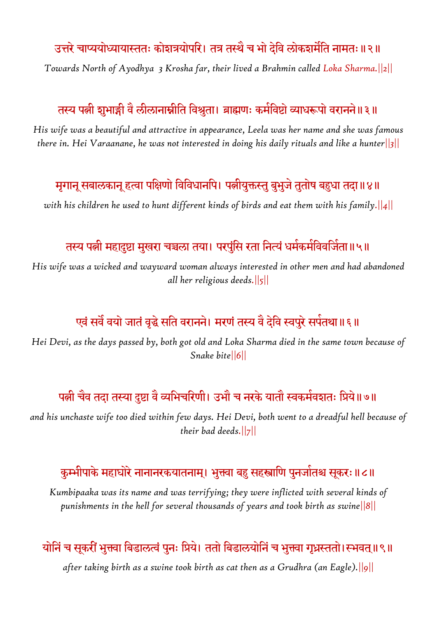## उत्तरे चाप्ययोध्यायास्ततः कोशत्रयोपरिं। तत्र तस्थै च भो देवि लोकशमौति नामतः॥२॥

*Towards North of Ayodhya 3 Krosha far, their lived a Brahmin called Loka Sharma.||2||*

## तस्य पत्नी शुभाङ्गी वै लीलानाम्नीति विश्रुता। ब्राह्मणः कमेविष्टो व्याधरूपो वरानने॥३॥

*His wife was a beautiful and attractive in appearance, Leela was her name and she was famous there in. Hei Varaanane, he was not interested in doing his daily rituals and like a hunter||3||*

### मृगानू सबालकानू हत्वा पक्षिणो विविधानपि। पत्नीयुक्तस्तु बुभुजे तुतोष बहुधा तदा॥४॥

*with his children he used to hunt different kinds of birds and eat them with his family.||4||*

### तस्य पत्नी महादुष्टा मुखरा चञ्चला तया। परपुंसि रता नित्यं धमेकमेविवजिता॥५॥

*His wife was a wicked and wayward woman always interested in other men and had abandoned all her religious deeds.||5||*

## एवं सर्वं वयो जातंं वृद्धे सति वरानने। मरणं तस्य वै देवि स्वपुरे सपेतथा॥६॥

*Hei Devi, as the days passed by, both got old and Loka Sharma died in the same town because of Snake bite||6||*

### पत्नी चैव तदा तस्या दुष्टा वै व्यभिचरिणी। उभौ च नरके यातौ स्वकमेवशतः प्रिये॥७॥

*and his unchaste wife too died within few days. Hei Devi, both went to a dreadful hell because of their bad deeds.||7||*

#### कुम्भीपाके महाघोरे नानानरकयातनाम्। भुक्त्वा बहु सहस्त्राणि पुनजांतश्च सूकरः॥८॥

*Kumbipaaka was its name and was terrifying; they were inflicted with several kinds of punishments in the hell for several thousands of years and took birth as swine||8||*

### योनिं च सूकरीं भुक्त्वा बिडालत्वं पुनः प्रिये। ततो बिडालयोनिं च भुक्त्वा गृध्रस्ततो।स्भवत्॥९॥

*after taking birth as a swine took birth as cat then as a Grudhra (an Eagle).||9||*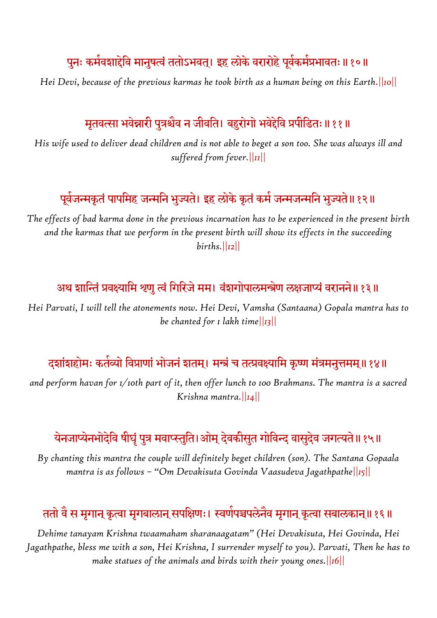# पुनः कमेवशाद्देवि मानुषत्वं ततोऽभवत्। इह लोके वरारोहे पूर्वकमेप्रभावतः ॥ १०॥

*Hei Devi, because of the previous karmas he took birth as a human being on this Earth.||10||*

## मृतवत्सा भवेन्नारी पुत्रश्चैव न जीवति। बहुरोगो भवेद्देवि प्रपीडितः॥११॥

*His wife used to deliver dead children and is not able to beget a son too. She was always ill and suffered from fever.||11||*

## पूर्वजन्मकृतं पापमिह जन्मनि भुज्यते। इह लोके कृतं कमे जन्मजन्मनि भुज्यते॥ १२॥

*The effects of bad karma done in the previous incarnation has to be experienced in the present birth and the karmas that we perform in the present birth will show its effects in the succeeding births.||12||*

#### अथ शान्तिं प्रवक्ष्यामि श्रणु त्वं गिरिजे मम। वंशगोपालमन्त्रेण लक्षजाप्यं वरानने॥१३॥

*Hei Parvati, I will tell the atonements now. Hei Devi, Vamsha (Santaana) Gopala mantra has to be chanted for 1 lakh time||13||*

### दशांशहोमः कतेव्यो विप्राणां भोजनं शतम्। मन्त्रं च तत्प्रवक्ष्यामि कृष्ण मंत्रमनुत्तमम्॥१४॥

*and perform havan for 1/10th part of it, then offer lunch to 100 Brahmans. The mantra is a sacred Krishna mantra.||14||*

# येनजाप्येनभोदेवि षीघृं पुत्र मवाप्स्तुति।ओम् देवकीसुत गोविन्द वासुदेव जगत्यते॥१५॥

*By chanting this mantra the couple will definitely beget children (son). The Santana Gopaala mantra is as follows – "Om Devakisuta Govinda Vaasudeva Jagathpathe||15||*

#### ततो वै स मृगान् कृत्वा मृगबालान् सपक्षिणः। स्वर्णपञ्चपलेनैव मृगान् कृत्वा सबालकान्॥१६॥

*Dehime tanayam Krishna twaamaham sharanaagatam" (Hei Devakisuta, Hei Govinda, Hei Jagathpathe, bless me with a son, Hei Krishna, I surrender myself to you). Parvati, Then he has to make statues of the animals and birds with their young ones.||16||*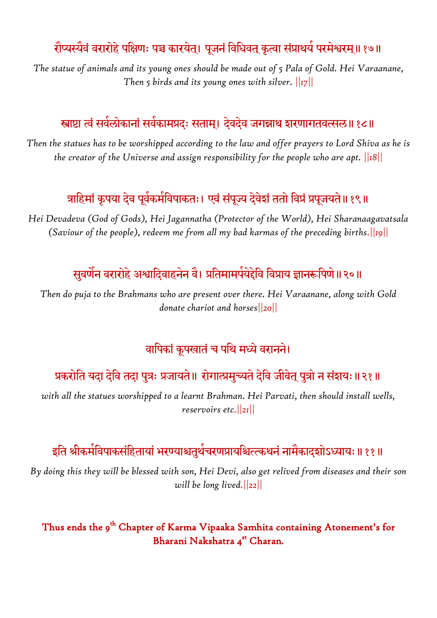# रौप्यस्यैवं वरारोहे पक्षिणः पञ्च कारयेत्। पूजनं विधिवत् कृत्वा संप्राथये परमेश्वरम्॥१७॥

*The statue of animals and its young ones should be made out of 5 Pala of Gold. Hei Varaanane, Then 5 birds and its young ones with silver. ||17||*

### स्त्राष्टा त्वं सर्वलोकानां सर्वकामप्रदः सताम्। देवदेव जगन्नाथ शरणागतवत्सल॥ १८॥

*Then the statues has to be worshipped according to the law and offer prayers to Lord Shiva as he is the creator of the Universe and assign responsibility for the people who are apt. ||18||*

## त्राहिमां कृपया देव पूर्वकमेविपाकतः। एवं संपूज्य देवेशं ततो विप्रं प्रपूजयते॥१९॥

*Hei Devadeva (God of Gods), Hei Jagannatha (Protector of the World), Hei Sharanaagavatsala (Saviour of the people), redeem me from all my bad karmas of the preceding births.||19||*

## सुवर्णन वरारोहे अश्वादिवाहनेन वै। प्रतिमामपेयेद्देवि विप्राय ज्ञानरूपिणे॥२०॥

*Then do puja to the Brahmans who are present over there. Hei Varaanane, along with Gold donate chariot and horses||20||*

## वापिकां कूपखातं च पथि मध्ये वरानने।

## प्रकरोति यदा देवि तदा पुत्रः प्रजायते॥ रोगात्प्रमुच्यते देवि जीवेत् पुत्रो न संशयः॥२१॥

*with all the statues worshipped to a learnt Brahman. Hei Parvati, then should install wells, reservoirs etc.||21||*

## इति श्रीकर्मविपाकसंहितायां भरण्याश्चतुर्थचरणप्रायश्चित्त्कथनं नामेकादशोऽध्यायः॥११॥

*By doing this they will be blessed with son, Hei Devi, also get relived from diseases and their son will be long lived.||22||*

#### Thus ends the 9<sup>th</sup> Chapter of Karma Vipaaka Samhita containing Atonement's for Bharani Nakshatra 4st Charan.